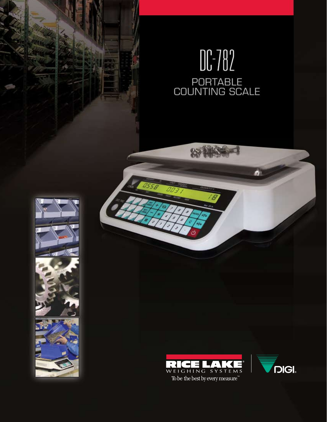# $\begin{matrix} 1 & 0 \\ 0 & 0 \\ 0 & 1 \\ 0 & 0 \\ 0 & 0 \\ 0 & 0 \\ 0 & 0 \\ 0 & 0 \\ 0 & 0 \\ 0 & 0 \\ 0 & 0 \\ 0 & 0 \\ 0 & 0 \\ 0 & 0 \\ 0 & 0 \\ 0 & 0 \\ 0 & 0 \\ 0 & 0 \\ 0 & 0 \\ 0 & 0 \\ 0 & 0 \\ 0 & 0 \\ 0 & 0 \\ 0 & 0 \\ 0 & 0 \\ 0 & 0 \\ 0 & 0 & 0 \\ 0 & 0 & 0 \\ 0 & 0 & 0 \\ 0 & 0 & 0 \\ 0 & 0 & 0 & 0 \\ 0 & 0 & 0 & 0$

0558









E)